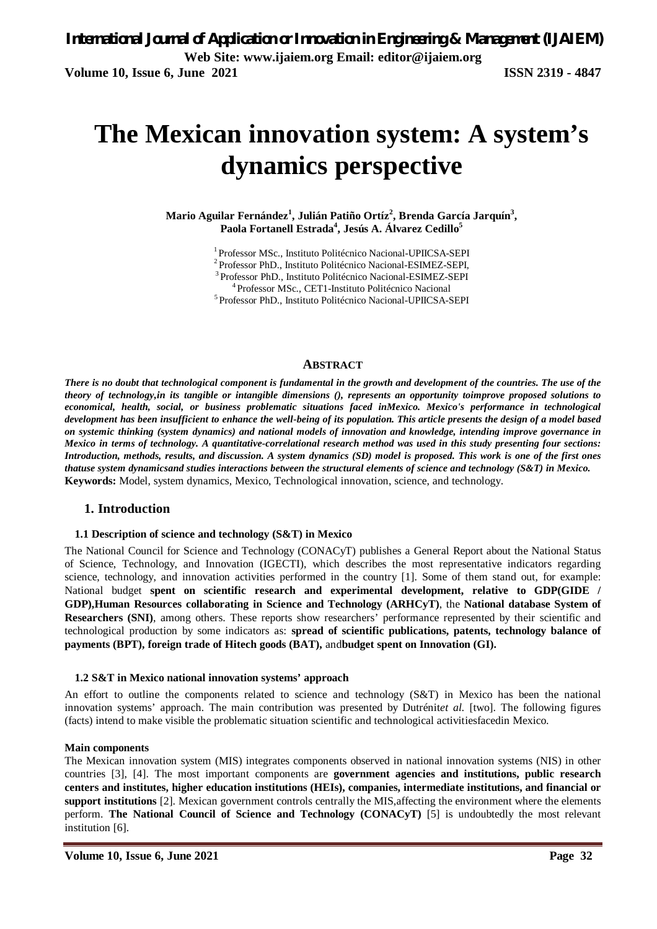# **The Mexican innovation system: A system's dynamics perspective**

**Mario Aguilar Fernández<sup>1</sup> , Julián Patiño Ortíz<sup>2</sup> , Brenda García Jarquín<sup>3</sup> , Paola Fortanell Estrada<sup>4</sup> , Jesús A. Álvarez Cedillo<sup>5</sup>**

> <sup>1</sup>Professor MSc., Instituto Politécnico Nacional-UPIICSA-SEPI <sup>2</sup> Professor PhD., Instituto Politécnico Nacional-ESIMEZ-SEPI, <sup>3</sup>Professor PhD., Instituto Politécnico Nacional-ESIMEZ-SEPI <sup>4</sup>Professor MSc., CET1-Instituto Politécnico Nacional <sup>5</sup> Professor PhD., Instituto Politécnico Nacional-UPIICSA-SEPI

#### **ABSTRACT**

*There is no doubt that technological component is fundamental in the growth and development of the countries. The use of the theory of technology,in its tangible or intangible dimensions (), represents an opportunity toimprove proposed solutions to economical, health, social, or business problematic situations faced inMexico. Mexico's performance in technological development has been insufficient to enhance the well-being of its population. This article presents the design of a model based on systemic thinking (system dynamics) and national models of innovation and knowledge, intending improve governance in Mexico in terms of technology. A quantitative-correlational research method was used in this study presenting four sections: Introduction, methods, results, and discussion. A system dynamics (SD) model is proposed. This work is one of the first ones thatuse system dynamicsand studies interactions between the structural elements of science and technology (S&T) in Mexico.* **Keywords:** Model, system dynamics, Mexico, Technological innovation, science, and technology.

#### **1. Introduction**

#### **1.1 Description of science and technology (S&T) in Mexico**

The National Council for Science and Technology (CONACyT) publishes a General Report about the National Status of Science, Technology, and Innovation (IGECTI), which describes the most representative indicators regarding science, technology, and innovation activities performed in the country [1]. Some of them stand out, for example: National budget **spent on scientific research and experimental development, relative to GDP(GIDE / GDP),Human Resources collaborating in Science and Technology (ARHCyT)**, the **National database System of Researchers (SNI)**, among others. These reports show researchers' performance represented by their scientific and technological production by some indicators as: **spread of scientific publications, patents, technology balance of payments (BPT), foreign trade of Hitech goods (BAT),** and**budget spent on Innovation (GI).** 

#### **1.2 S&T in Mexico national innovation systems' approach**

An effort to outline the components related to science and technology (S&T) in Mexico has been the national innovation systems' approach. The main contribution was presented by Dutrénit*et al.* [two]. The following figures (facts) intend to make visible the problematic situation scientific and technological activitiesfacedin Mexico.

#### **Main components**

The Mexican innovation system (MIS) integrates components observed in national innovation systems (NIS) in other countries [3], [4]. The most important components are **government agencies and institutions, public research centers and institutes, higher education institutions (HEIs), companies, intermediate institutions, and financial or support institutions** [2]. Mexican government controls centrally the MIS,affecting the environment where the elements perform. **The National Council of Science and Technology (CONACyT)** [5] is undoubtedly the most relevant institution [6].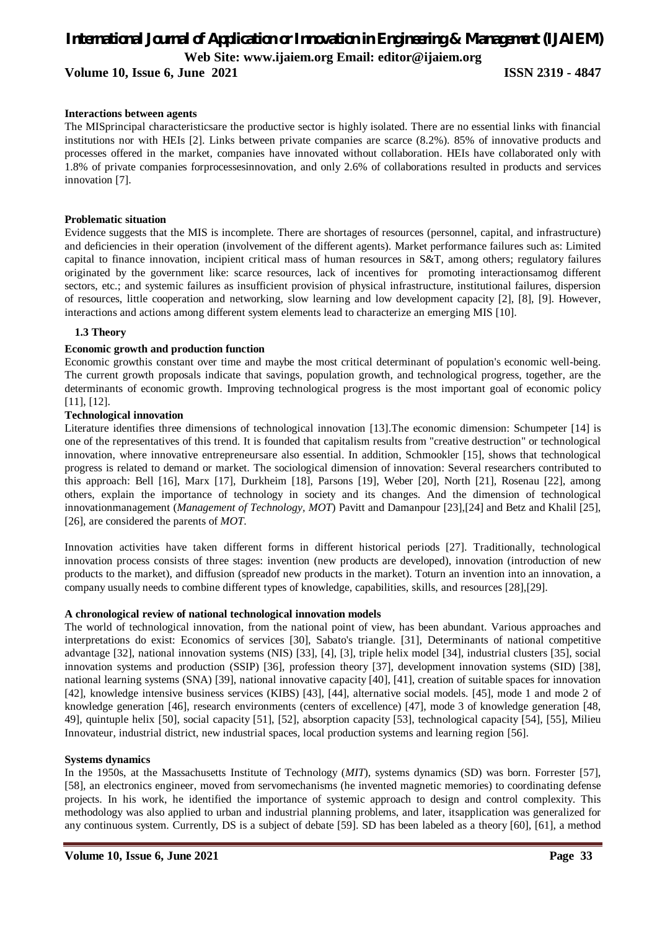**Volume 10, Issue 6, June 2021 ISSN 2319 - 4847** 

#### **Interactions between agents**

The MISprincipal characteristicsare the productive sector is highly isolated. There are no essential links with financial institutions nor with HEIs [2]. Links between private companies are scarce (8.2%). 85% of innovative products and processes offered in the market, companies have innovated without collaboration. HEIs have collaborated only with 1.8% of private companies forprocessesinnovation, and only 2.6% of collaborations resulted in products and services innovation [7].

#### **Problematic situation**

Evidence suggests that the MIS is incomplete. There are shortages of resources (personnel, capital, and infrastructure) and deficiencies in their operation (involvement of the different agents). Market performance failures such as: Limited capital to finance innovation, incipient critical mass of human resources in S&T, among others; regulatory failures originated by the government like: scarce resources, lack of incentives for promoting interactionsamog different sectors, etc.; and systemic failures as insufficient provision of physical infrastructure, institutional failures, dispersion of resources, little cooperation and networking, slow learning and low development capacity [2], [8], [9]. However, interactions and actions among different system elements lead to characterize an emerging MIS [10].

#### **1.3 Theory**

#### **Economic growth and production function**

Economic growthis constant over time and maybe the most critical determinant of population's economic well-being. The current growth proposals indicate that savings, population growth, and technological progress, together, are the determinants of economic growth. Improving technological progress is the most important goal of economic policy [11], [12].

#### **Technological innovation**

Literature identifies three dimensions of technological innovation [13].The economic dimension: Schumpeter [14] is one of the representatives of this trend. It is founded that capitalism results from "creative destruction" or technological innovation, where innovative entrepreneursare also essential. In addition, Schmookler [15], shows that technological progress is related to demand or market. The sociological dimension of innovation: Several researchers contributed to this approach: Bell [16], Marx [17], Durkheim [18], Parsons [19], Weber [20], North [21], Rosenau [22], among others, explain the importance of technology in society and its changes. And the dimension of technological innovationmanagement (*Management of Technology, MOT*) Pavitt and Damanpour [23],[24] and Betz and Khalil [25], [26], are considered the parents of *MOT*.

Innovation activities have taken different forms in different historical periods [27]. Traditionally, technological innovation process consists of three stages: invention (new products are developed), innovation (introduction of new products to the market), and diffusion (spreadof new products in the market). Toturn an invention into an innovation, a company usually needs to combine different types of knowledge, capabilities, skills, and resources [28],[29].

#### **A chronological review of national technological innovation models**

The world of technological innovation, from the national point of view, has been abundant. Various approaches and interpretations do exist: Economics of services [30], Sabato's triangle. [31], Determinants of national competitive advantage [32], national innovation systems (NIS) [33], [4], [3], triple helix model [34], industrial clusters [35], social innovation systems and production (SSIP) [36], profession theory [37], development innovation systems (SID) [38], national learning systems (SNA) [39], national innovative capacity [40], [41], creation of suitable spaces for innovation [42], knowledge intensive business services (KIBS) [43], [44], alternative social models. [45], mode 1 and mode 2 of knowledge generation [46], research environments (centers of excellence) [47], mode 3 of knowledge generation [48, 49], quintuple helix [50], social capacity [51], [52], absorption capacity [53], technological capacity [54], [55], Milieu Innovateur, industrial district, new industrial spaces, local production systems and learning region [56].

#### **Systems dynamics**

In the 1950s, at the Massachusetts Institute of Technology (*MIT*), systems dynamics (SD) was born. Forrester [57], [58], an electronics engineer, moved from servomechanisms (he invented magnetic memories) to coordinating defense projects. In his work, he identified the importance of systemic approach to design and control complexity. This methodology was also applied to urban and industrial planning problems, and later, itsapplication was generalized for any continuous system. Currently, DS is a subject of debate [59]. SD has been labeled as a theory [60], [61], a method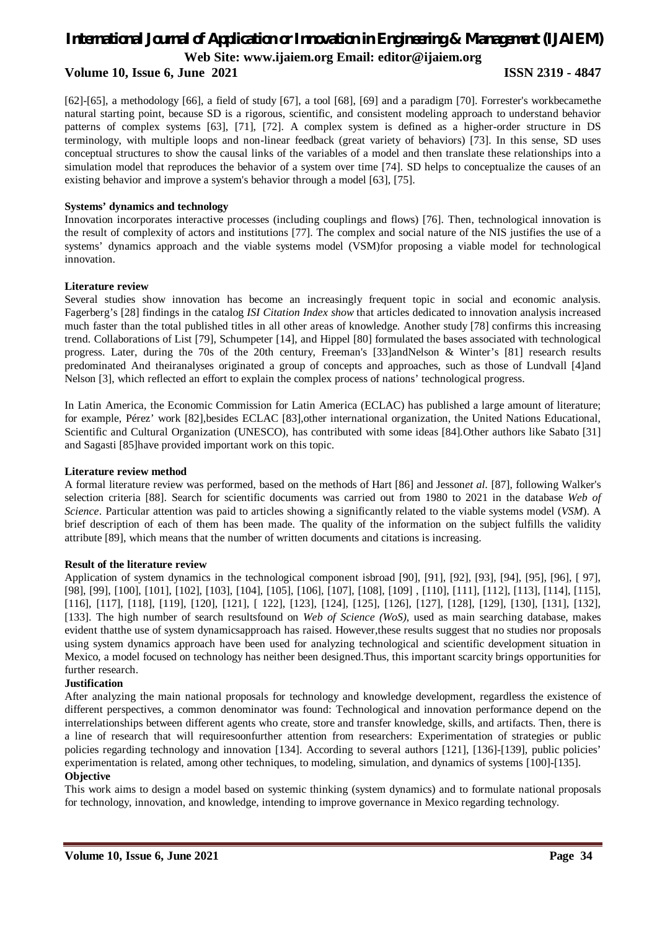#### **Volume 10, Issue 6, June 2021 ISSN 2319 - 4847**

[62]-[65], a methodology [66], a field of study [67], a tool [68], [69] and a paradigm [70]. Forrester's workbecamethe natural starting point, because SD is a rigorous, scientific, and consistent modeling approach to understand behavior patterns of complex systems [63], [71], [72]. A complex system is defined as a higher-order structure in DS terminology, with multiple loops and non-linear feedback (great variety of behaviors) [73]. In this sense, SD uses conceptual structures to show the causal links of the variables of a model and then translate these relationships into a simulation model that reproduces the behavior of a system over time [74]. SD helps to conceptualize the causes of an existing behavior and improve a system's behavior through a model [63], [75].

#### **Systems' dynamics and technology**

Innovation incorporates interactive processes (including couplings and flows) [76]. Then, technological innovation is the result of complexity of actors and institutions [77]. The complex and social nature of the NIS justifies the use of a systems' dynamics approach and the viable systems model (VSM)for proposing a viable model for technological innovation.

#### **Literature review**

Several studies show innovation has become an increasingly frequent topic in social and economic analysis. Fagerberg's [28] findings in the catalog *ISI Citation Index show* that articles dedicated to innovation analysis increased much faster than the total published titles in all other areas of knowledge. Another study [78] confirms this increasing trend. Collaborations of List [79], Schumpeter [14], and Hippel [80] formulated the bases associated with technological progress. Later, during the 70s of the 20th century, Freeman's [33]andNelson & Winter's [81] research results predominated And theiranalyses originated a group of concepts and approaches, such as those of Lundvall [4]and Nelson [3], which reflected an effort to explain the complex process of nations' technological progress.

In Latin America, the Economic Commission for Latin America (ECLAC) has published a large amount of literature; for example, Pérez' work [82],besides ECLAC [83],other international organization, the United Nations Educational, Scientific and Cultural Organization (UNESCO), has contributed with some ideas [84]*.*Other authors like Sabato [31] and Sagasti [85]have provided important work on this topic.

#### **Literature review method**

A formal literature review was performed, based on the methods of Hart [86] and Jesson*et al.* [87], following Walker's selection criteria [88]. Search for scientific documents was carried out from 1980 to 2021 in the database *Web of Science*. Particular attention was paid to articles showing a significantly related to the viable systems model (*VSM*). A brief description of each of them has been made. The quality of the information on the subject fulfills the validity attribute [89], which means that the number of written documents and citations is increasing.

#### **Result of the literature review**

Application of system dynamics in the technological component isbroad [90], [91], [92], [93], [94], [95], [96], [ 97], [98], [99], [100], [101], [102], [103], [104], [105], [106], [107], [108], [109] , [110], [111], [112], [113], [114], [115], [116], [117], [118], [119], [120], [121], [ 122], [123], [124], [125], [126], [127], [128], [129], [130], [131], [132], [133]. The high number of search resultsfound on *Web of Science (WoS)*, used as main searching database, makes evident thatthe use of system dynamicsapproach has raised. However,these results suggest that no studies nor proposals using system dynamics approach have been used for analyzing technological and scientific development situation in Mexico, a model focused on technology has neither been designed.Thus, this important scarcity brings opportunities for further research.

#### **Justification**

After analyzing the main national proposals for technology and knowledge development, regardless the existence of different perspectives, a common denominator was found: Technological and innovation performance depend on the interrelationships between different agents who create, store and transfer knowledge, skills, and artifacts. Then, there is a line of research that will requiresoonfurther attention from researchers: Experimentation of strategies or public policies regarding technology and innovation [134]. According to several authors [121], [136]-[139], public policies' experimentation is related, among other techniques, to modeling, simulation, and dynamics of systems [100]-[135].

#### **Objective**

This work aims to design a model based on systemic thinking (system dynamics) and to formulate national proposals for technology, innovation, and knowledge, intending to improve governance in Mexico regarding technology.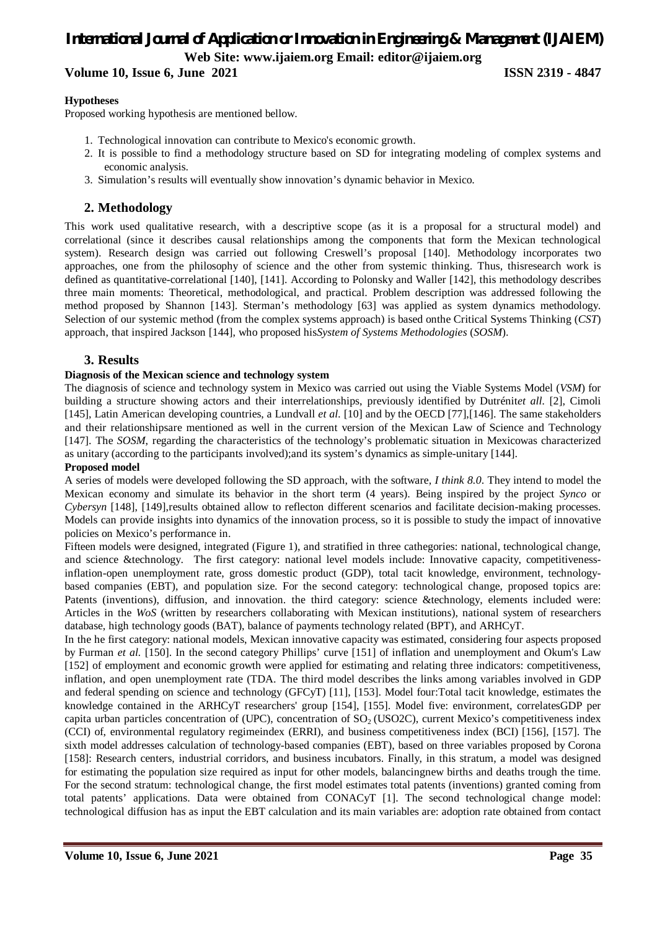**Volume 10, Issue 6, June 2021 ISSN 2319 - 4847** 

#### **Hypotheses**

Proposed working hypothesis are mentioned bellow.

- 1. Technological innovation can contribute to Mexico's economic growth.
- 2. It is possible to find a methodology structure based on SD for integrating modeling of complex systems and economic analysis.
- 3. Simulation's results will eventually show innovation's dynamic behavior in Mexico.

### **2. Methodology**

This work used qualitative research, with a descriptive scope (as it is a proposal for a structural model) and correlational (since it describes causal relationships among the components that form the Mexican technological system). Research design was carried out following Creswell's proposal [140]. Methodology incorporates two approaches, one from the philosophy of science and the other from systemic thinking. Thus, thisresearch work is defined as quantitative-correlational [140], [141]. According to Polonsky and Waller [142], this methodology describes three main moments: Theoretical, methodological, and practical. Problem description was addressed following the method proposed by Shannon [143]. Sterman's methodology [63] was applied as system dynamics methodology. Selection of our systemic method (from the complex systems approach) is based onthe Critical Systems Thinking (*CST*) approach, that inspired Jackson [144], who proposed his*System of Systems Methodologies* (*SOSM*).

#### **3. Results**

#### **Diagnosis of the Mexican science and technology system**

The diagnosis of science and technology system in Mexico was carried out using the Viable Systems Model (*VSM*) for building a structure showing actors and their interrelationships, previously identified by Dutrénit*et all.* [2], Cimoli [145], Latin American developing countries, a Lundvall *et al.* [10] and by the OECD [77],[146]. The same stakeholders and their relationshipsare mentioned as well in the current version of the Mexican Law of Science and Technology [147]. The *SOSM*, regarding the characteristics of the technology's problematic situation in Mexicowas characterized as unitary (according to the participants involved);and its system's dynamics as simple-unitary [144].

#### **Proposed model**

A series of models were developed following the SD approach, with the software*, I think 8.0*. They intend to model the Mexican economy and simulate its behavior in the short term (4 years). Being inspired by the project *Synco* or *Cybersyn* [148], [149],results obtained allow to reflecton different scenarios and facilitate decision-making processes. Models can provide insights into dynamics of the innovation process, so it is possible to study the impact of innovative policies on Mexico's performance in.

Fifteen models were designed, integrated (Figure 1), and stratified in three cathegories: national, technological change, and science &technology. The first category: national level models include: Innovative capacity, competitivenessinflation-open unemployment rate, gross domestic product (GDP), total tacit knowledge, environment, technologybased companies (EBT), and population size. For the second category: technological change, proposed topics are: Patents (inventions), diffusion, and innovation. the third category: science &technology, elements included were: Articles in the *WoS* (written by researchers collaborating with Mexican institutions), national system of researchers database, high technology goods (BAT), balance of payments technology related (BPT), and ARHCyT.

In the he first category: national models, Mexican innovative capacity was estimated, considering four aspects proposed by Furman *et al.* [150]. In the second category Phillips' curve [151] of inflation and unemployment and Okum's Law [152] of employment and economic growth were applied for estimating and relating three indicators: competitiveness, inflation, and open unemployment rate (TDA. The third model describes the links among variables involved in GDP and federal spending on science and technology (GFCyT) [11], [153]. Model four:Total tacit knowledge, estimates the knowledge contained in the ARHCyT researchers' group [154], [155]. Model five: environment, correlatesGDP per capita urban particles concentration of (UPC), concentration of  $SO<sub>2</sub>$  (USO2C), current Mexico's competitiveness index (CCI) of, environmental regulatory regimeindex (ERRI), and business competitiveness index (BCI) [156], [157]. The sixth model addresses calculation of technology-based companies (EBT), based on three variables proposed by Corona [158]: Research centers, industrial corridors, and business incubators. Finally, in this stratum, a model was designed for estimating the population size required as input for other models, balancingnew births and deaths trough the time. For the second stratum: technological change, the first model estimates total patents (inventions) granted coming from total patents' applications. Data were obtained from CONACyT [1]. The second technological change model: technological diffusion has as input the EBT calculation and its main variables are: adoption rate obtained from contact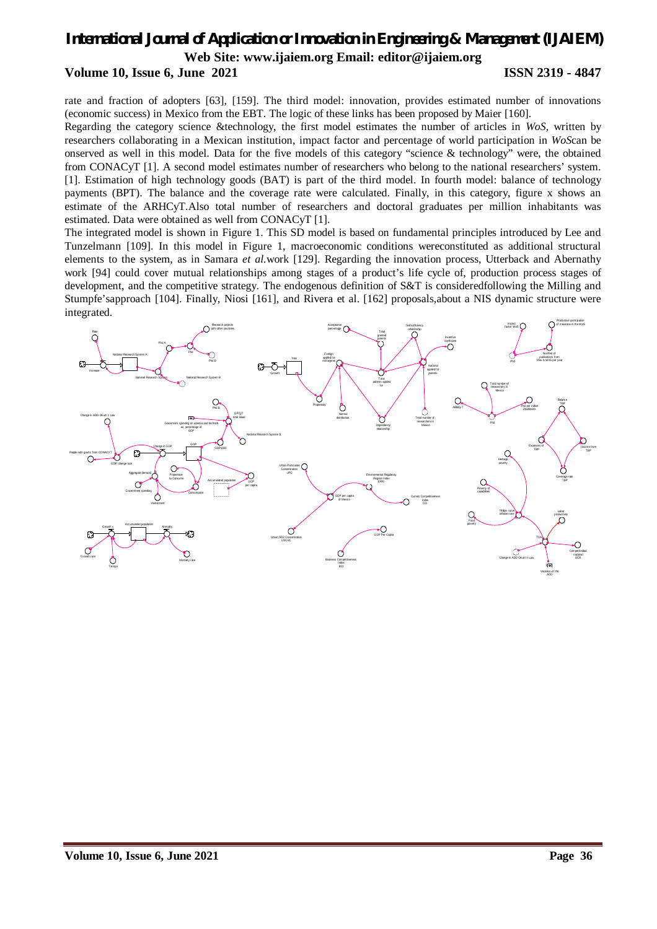## *International Journal of Application or Innovation in Engineering & Management (IJAIEM)* **Web Site: www.ijaiem.org Email: editor@ijaiem.org Volume 10, Issue 6, June 2021 ISSN 2319 - 4847**

rate and fraction of adopters [63], [159]. The third model: innovation, provides estimated number of innovations (economic success) in Mexico from the EBT. The logic of these links has been proposed by Maier [160].

Regarding the category science &technology, the first model estimates the number of articles in *WoS,* written by researchers collaborating in a Mexican institution, impact factor and percentage of world participation in *WoS*can be onserved as well in this model. Data for the five models of this category "science & technology" were, the obtained from CONACyT [1]. A second model estimates number of researchers who belong to the national researchers' system. [1]. Estimation of high technology goods (BAT) is part of the third model. In fourth model: balance of technology payments (BPT). The balance and the coverage rate were calculated. Finally, in this category, figure x shows an estimate of the ARHCyT.Also total number of researchers and doctoral graduates per million inhabitants was estimated. Data were obtained as well from CONACyT [1].

The integrated model is shown in Figure 1. This SD model is based on fundamental principles introduced by Lee and Tunzelmann [109]. In this model in Figure 1, macroeconomic conditions wereconstituted as additional structural elements to the system, as in Samara *et al.*work [129]. Regarding the innovation process, Utterback and Abernathy work [94] could cover mutual relationships among stages of a product's life cycle of, production process stages of development, and the competitive strategy. The endogenous definition of S&T is consideredfollowing the Milling and Stumpfe'sapproach [104]. Finally, Niosi [161], and Rivera et al. [162] proposals,about a NIS dynamic structure were integrated.

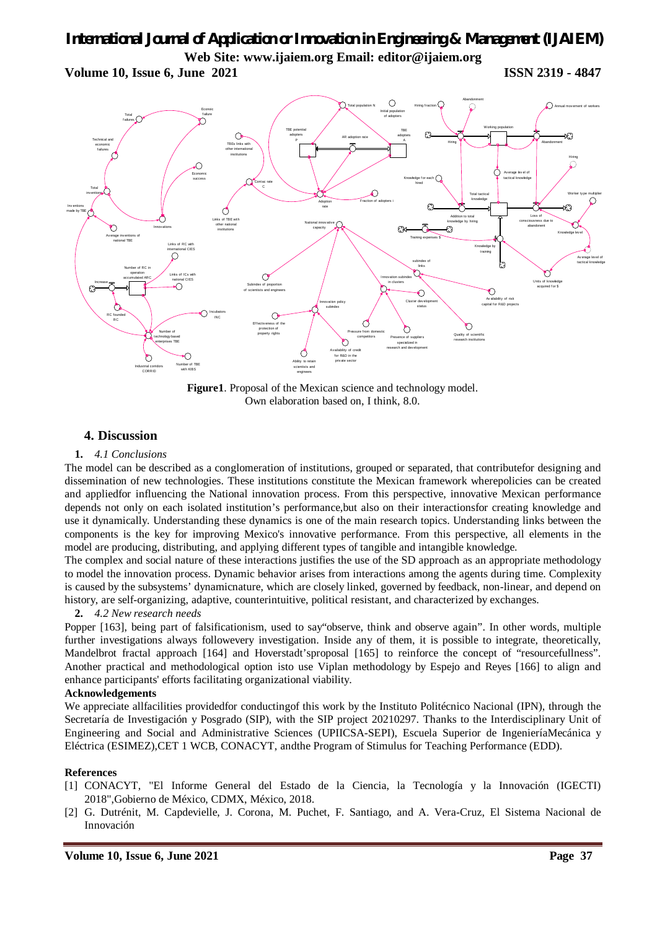**Volume 10, Issue 6, June 2021 ISSN 2319 - 4847** 



**Figure1**. Proposal of the Mexican science and technology model. Own elaboration based on, I think, 8.0.

### **4. Discussion**

#### **1.** *4.1 Conclusions*

The model can be described as a conglomeration of institutions, grouped or separated, that contributefor designing and dissemination of new technologies. These institutions constitute the Mexican framework wherepolicies can be created and appliedfor influencing the National innovation process. From this perspective, innovative Mexican performance depends not only on each isolated institution's performance,but also on their interactionsfor creating knowledge and use it dynamically. Understanding these dynamics is one of the main research topics. Understanding links between the components is the key for improving Mexico's innovative performance. From this perspective, all elements in the model are producing, distributing, and applying different types of tangible and intangible knowledge.

The complex and social nature of these interactions justifies the use of the SD approach as an appropriate methodology to model the innovation process. Dynamic behavior arises from interactions among the agents during time. Complexity is caused by the subsystems' dynamicnature, which are closely linked, governed by feedback, non-linear, and depend on history, are self-organizing, adaptive, counterintuitive, political resistant, and characterized by exchanges.

#### **2.** *4.2 New research needs*

Popper [163], being part of falsificationism, used to say"observe, think and observe again". In other words, multiple further investigations always followevery investigation. Inside any of them, it is possible to integrate, theoretically, Mandelbrot fractal approach [164] and Hoverstadt'sproposal [165] to reinforce the concept of "resourcefullness". Another practical and methodological option isto use Viplan methodology by Espejo and Reyes [166] to align and enhance participants' efforts facilitating organizational viability.

#### **Acknowledgements**

We appreciate allfacilities provided for conducting of this work by the Instituto Politécnico Nacional (IPN), through the Secretaría de Investigación y Posgrado (SIP), with the SIP project 20210297. Thanks to the Interdisciplinary Unit of Engineering and Social and Administrative Sciences (UPIICSA-SEPI), Escuela Superior de IngenieríaMecánica y Eléctrica (ESIMEZ),CET 1 WCB, CONACYT, andthe Program of Stimulus for Teaching Performance (EDD).

#### **References**

- [1] CONACYT, "El Informe General del Estado de la Ciencia, la Tecnología y la Innovación (IGECTI) 2018",Gobierno de México, CDMX, México, 2018.
- [2] G. Dutrénit, M. Capdevielle, J. Corona, M. Puchet, F. Santiago, and A. Vera-Cruz, El Sistema Nacional de Innovación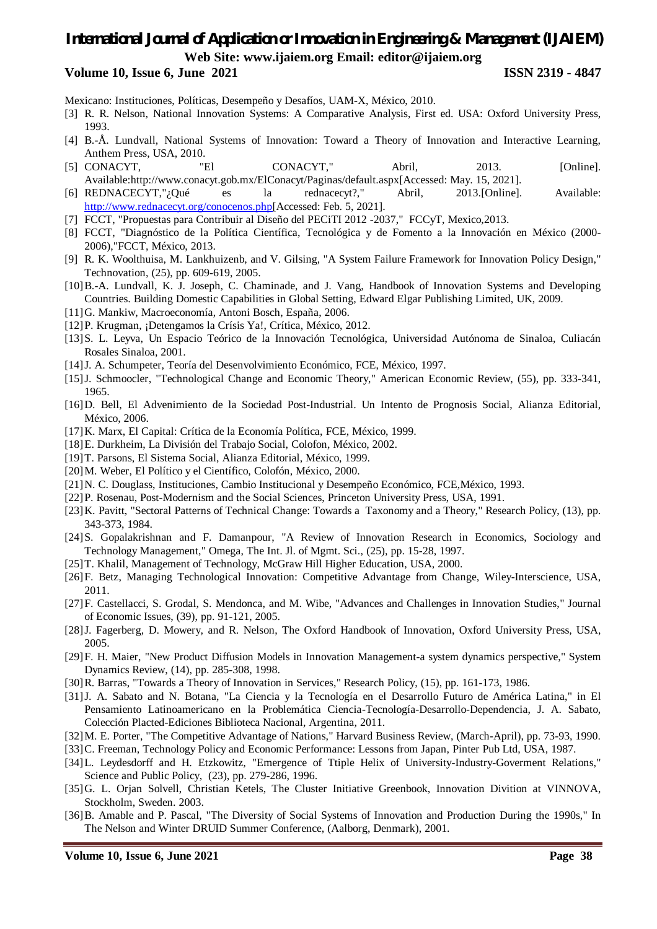#### **Volume 10, Issue 6, June 2021 ISSN 2319 - 4847**

Mexicano: Instituciones, Políticas, Desempeño y Desafíos, UAM-X, México, 2010.

- [3] R. R. Nelson, National Innovation Systems: A Comparative Analysis, First ed. USA: Oxford University Press, 1993.
- [4] B.-Å. Lundvall, National Systems of Innovation: Toward a Theory of Innovation and Interactive Learning, Anthem Press, USA, 2010.
- [5] CONACYT, "El CONACYT," Abril, 2013. [Online]. Available:http://www.conacyt.gob.mx/ElConacyt/Paginas/default.aspx[Accessed: May. 15, 2021].
- [6] REDNACECYT,"¿Qué es la rednacecyt?," Abril, 2013.[Online]. Available: http://www.rednacecyt.org/conocenos.php[Accessed: Feb. 5, 2021].
- [7] FCCT, "Propuestas para Contribuir al Diseño del PECiTI 2012 -2037," FCCyT, Mexico,2013.
- [8] FCCT, "Diagnóstico de la Política Científica, Tecnológica y de Fomento a la Innovación en México (2000- 2006),"FCCT, México, 2013.
- [9] R. K. Woolthuisa, M. Lankhuizenb, and V. Gilsing, "A System Failure Framework for Innovation Policy Design," Technovation, (25), pp. 609-619, 2005.
- [10]B.-A. Lundvall, K. J. Joseph, C. Chaminade, and J. Vang, Handbook of Innovation Systems and Developing Countries. Building Domestic Capabilities in Global Setting, Edward Elgar Publishing Limited, UK, 2009.
- [11]G. Mankiw, Macroeconomía, Antoni Bosch, España, 2006.
- [12]P. Krugman, ¡Detengamos la Crísis Ya!, Crítica, México, 2012.
- [13]S. L. Leyva, Un Espacio Teórico de la Innovación Tecnológica, Universidad Autónoma de Sinaloa, Culiacán Rosales Sinaloa, 2001.
- [14]J. A. Schumpeter, Teoría del Desenvolvimiento Económico, FCE, México, 1997.
- [15]J. Schmoocler, "Technological Change and Economic Theory," American Economic Review, (55), pp. 333-341, 1965.
- [16]D. Bell, El Advenimiento de la Sociedad Post-Industrial. Un Intento de Prognosis Social, Alianza Editorial, México, 2006.
- [17]K. Marx, El Capital: Crítica de la Economía Política, FCE, México, 1999.
- [18]E. Durkheim, La División del Trabajo Social, Colofon, México, 2002.
- [19]T. Parsons, El Sistema Social, Alianza Editorial, México, 1999.
- [20]M. Weber, El Político y el Científico, Colofón, México, 2000.
- [21]N. C. Douglass, Instituciones, Cambio Institucional y Desempeño Económico, FCE,México, 1993.
- [22]P. Rosenau, Post-Modernism and the Social Sciences, Princeton University Press, USA, 1991.
- [23]K. Pavitt, "Sectoral Patterns of Technical Change: Towards a Taxonomy and a Theory," Research Policy, (13), pp. 343-373, 1984.
- [24]S. Gopalakrishnan and F. Damanpour, "A Review of Innovation Research in Economics, Sociology and Technology Management," Omega, The Int. Jl. of Mgmt. Sci., (25), pp. 15-28, 1997.
- [25]T. Khalil, Management of Technology, McGraw Hill Higher Education, USA, 2000.
- [26]F. Betz, Managing Technological Innovation: Competitive Advantage from Change, Wiley-Interscience, USA, 2011.
- [27]F. Castellacci, S. Grodal, S. Mendonca, and M. Wibe, "Advances and Challenges in Innovation Studies," Journal of Economic Issues, (39), pp. 91-121, 2005.
- [28]J. Fagerberg, D. Mowery, and R. Nelson, The Oxford Handbook of Innovation, Oxford University Press, USA, 2005.
- [29]F. H. Maier, "New Product Diffusion Models in Innovation Management-a system dynamics perspective," System Dynamics Review, (14), pp. 285-308, 1998.
- [30]R. Barras, "Towards a Theory of Innovation in Services," Research Policy, (15), pp. 161-173, 1986.
- [31]J. A. Sabato and N. Botana, "La Ciencia y la Tecnología en el Desarrollo Futuro de América Latina," in El Pensamiento Latinoamericano en la Problemática Ciencia-Tecnología-Desarrollo-Dependencia, J. A. Sabato, Colección Placted-Ediciones Biblioteca Nacional, Argentina, 2011.
- [32]M. E. Porter, "The Competitive Advantage of Nations," Harvard Business Review, (March-April), pp. 73-93, 1990.
- [33] C. Freeman, Technology Policy and Economic Performance: Lessons from Japan, Pinter Pub Ltd, USA, 1987.
- [34]L. Leydesdorff and H. Etzkowitz, "Emergence of Ttiple Helix of University-Industry-Goverment Relations," Science and Public Policy, (23), pp. 279-286, 1996.
- [35]G. L. Orjan Solvell, Christian Ketels, The Cluster Initiative Greenbook, Innovation Divition at VINNOVA, Stockholm, Sweden. 2003.
- [36]B. Amable and P. Pascal, "The Diversity of Social Systems of Innovation and Production During the 1990s," In The Nelson and Winter DRUID Summer Conference, (Aalborg, Denmark), 2001.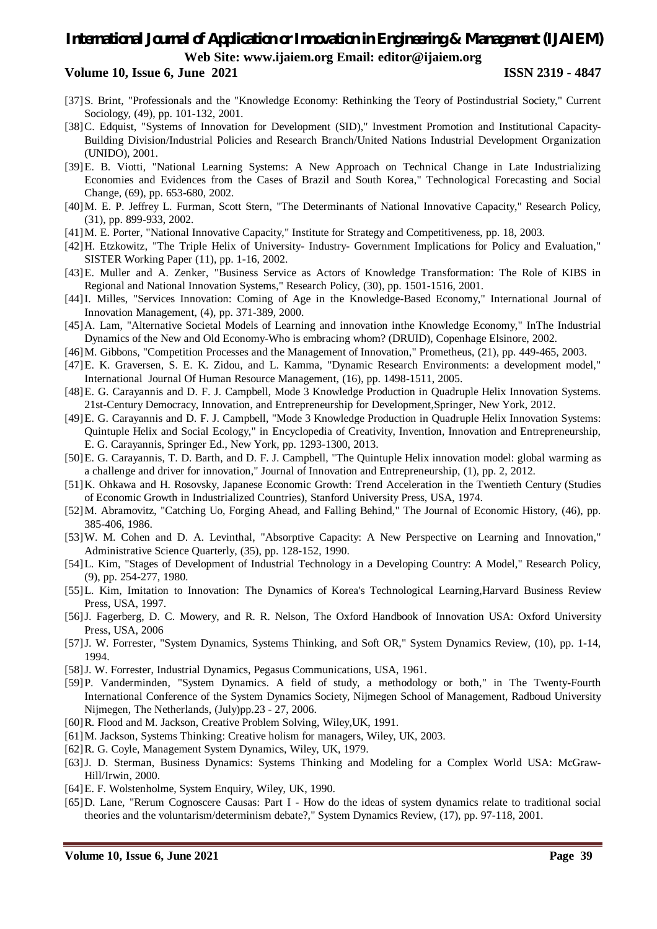- [37]S. Brint, "Professionals and the "Knowledge Economy: Rethinking the Teory of Postindustrial Society," Current Sociology, (49), pp. 101-132, 2001.
- [38]C. Edquist, "Systems of Innovation for Development (SID)," Investment Promotion and Institutional Capacity-Building Division/Industrial Policies and Research Branch/United Nations Industrial Development Organization (UNIDO), 2001.
- [39]E. B. Viotti, "National Learning Systems: A New Approach on Technical Change in Late Industrializing Economies and Evidences from the Cases of Brazil and South Korea," Technological Forecasting and Social Change, (69), pp. 653-680, 2002.
- [40]M. E. P. Jeffrey L. Furman, Scott Stern, "The Determinants of National Innovative Capacity," Research Policy, (31), pp. 899-933, 2002.
- [41]M. E. Porter, "National Innovative Capacity," Institute for Strategy and Competitiveness, pp. 18, 2003.
- [42]H. Etzkowitz, "The Triple Helix of University- Industry- Government Implications for Policy and Evaluation," SISTER Working Paper (11), pp. 1-16, 2002.
- [43]E. Muller and A. Zenker, "Business Service as Actors of Knowledge Transformation: The Role of KIBS in Regional and National Innovation Systems," Research Policy, (30), pp. 1501-1516, 2001.
- [44]I. Milles, "Services Innovation: Coming of Age in the Knowledge-Based Economy," International Journal of Innovation Management, (4), pp. 371-389, 2000.
- [45]A. Lam, "Alternative Societal Models of Learning and innovation inthe Knowledge Economy," InThe Industrial Dynamics of the New and Old Economy-Who is embracing whom? (DRUID), Copenhage Elsinore, 2002.
- [46]M. Gibbons, "Competition Processes and the Management of Innovation," Prometheus, (21), pp. 449-465, 2003.
- [47]E. K. Graversen, S. E. K. Zidou, and L. Kamma, "Dynamic Research Environments: a development model," International Journal Of Human Resource Management, (16), pp. 1498-1511, 2005.
- [48]E. G. Carayannis and D. F. J. Campbell, Mode 3 Knowledge Production in Quadruple Helix Innovation Systems. 21st-Century Democracy, Innovation, and Entrepreneurship for Development,Springer, New York, 2012.
- [49]E. G. Carayannis and D. F. J. Campbell, "Mode 3 Knowledge Production in Quadruple Helix Innovation Systems: Quintuple Helix and Social Ecology," in Encyclopedia of Creativity, Invention, Innovation and Entrepreneurship, E. G. Carayannis, Springer Ed., New York, pp. 1293-1300, 2013.
- [50]E. G. Carayannis, T. D. Barth, and D. F. J. Campbell, "The Quintuple Helix innovation model: global warming as a challenge and driver for innovation," Journal of Innovation and Entrepreneurship, (1), pp. 2, 2012.
- [51]K. Ohkawa and H. Rosovsky, Japanese Economic Growth: Trend Acceleration in the Twentieth Century (Studies of Economic Growth in Industrialized Countries), Stanford University Press, USA, 1974.
- [52]M. Abramovitz, "Catching Uo, Forging Ahead, and Falling Behind," The Journal of Economic History, (46), pp. 385-406, 1986.
- [53]W. M. Cohen and D. A. Levinthal, "Absorptive Capacity: A New Perspective on Learning and Innovation," Administrative Science Quarterly, (35), pp. 128-152, 1990.
- [54]L. Kim, "Stages of Development of Industrial Technology in a Developing Country: A Model," Research Policy, (9), pp. 254-277, 1980.
- [55]L. Kim, Imitation to Innovation: The Dynamics of Korea's Technological Learning,Harvard Business Review Press, USA, 1997.
- [56]J. Fagerberg, D. C. Mowery, and R. R. Nelson, The Oxford Handbook of Innovation USA: Oxford University Press, USA, 2006
- [57]J. W. Forrester, "System Dynamics, Systems Thinking, and Soft OR," System Dynamics Review, (10), pp. 1-14, 1994.
- [58]J. W. Forrester, Industrial Dynamics, Pegasus Communications, USA, 1961.
- [59]P. Vanderminden, "System Dynamics. A field of study, a methodology or both," in The Twenty-Fourth International Conference of the System Dynamics Society, Nijmegen School of Management, Radboud University Nijmegen, The Netherlands, (July)pp.23 - 27, 2006.
- [60]R. Flood and M. Jackson, Creative Problem Solving, Wiley,UK, 1991.
- [61]M. Jackson, Systems Thinking: Creative holism for managers, Wiley, UK, 2003.
- [62]R. G. Coyle, Management System Dynamics, Wiley, UK, 1979.
- [63]J. D. Sterman, Business Dynamics: Systems Thinking and Modeling for a Complex World USA: McGraw-Hill/Irwin, 2000.
- [64]E. F. Wolstenholme, System Enquiry, Wiley, UK, 1990.
- [65]D. Lane, "Rerum Cognoscere Causas: Part I How do the ideas of system dynamics relate to traditional social theories and the voluntarism/determinism debate?," System Dynamics Review, (17), pp. 97-118, 2001.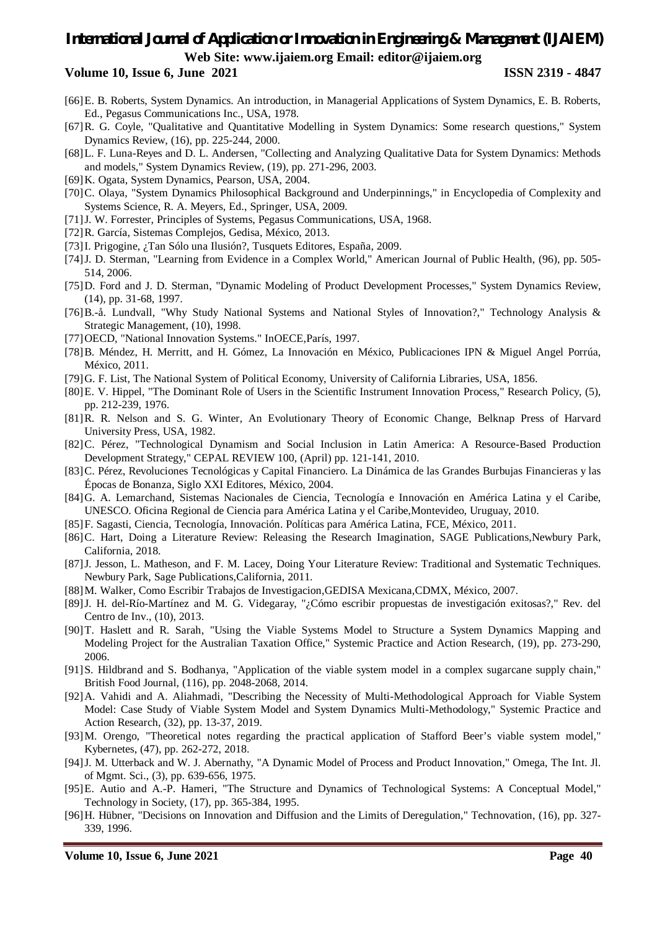- [66]E. B. Roberts, System Dynamics. An introduction, in Managerial Applications of System Dynamics, E. B. Roberts, Ed., Pegasus Communications Inc., USA, 1978.
- [67]R. G. Coyle, "Qualitative and Quantitative Modelling in System Dynamics: Some research questions," System Dynamics Review, (16), pp. 225-244, 2000.
- [68]L. F. Luna-Reyes and D. L. Andersen, "Collecting and Analyzing Qualitative Data for System Dynamics: Methods and models," System Dynamics Review, (19), pp. 271-296, 2003.
- [69]K. Ogata, System Dynamics, Pearson, USA, 2004.
- [70]C. Olaya, "System Dynamics Philosophical Background and Underpinnings," in Encyclopedia of Complexity and Systems Science, R. A. Meyers, Ed., Springer, USA, 2009.
- [71]J. W. Forrester, Principles of Systems, Pegasus Communications, USA, 1968.
- [72]R. García, Sistemas Complejos, Gedisa, México, 2013.
- [73]I. Prigogine, ¿Tan Sólo una Ilusión?, Tusquets Editores, España, 2009.
- [74]J. D. Sterman, "Learning from Evidence in a Complex World," American Journal of Public Health, (96), pp. 505- 514, 2006.
- [75]D. Ford and J. D. Sterman, "Dynamic Modeling of Product Development Processes," System Dynamics Review, (14), pp. 31-68, 1997.
- [76]B.-å. Lundvall, "Why Study National Systems and National Styles of Innovation?," Technology Analysis & Strategic Management, (10), 1998.
- [77]OECD, "National Innovation Systems." InOECE,París, 1997.
- [78]B. Méndez, H. Merritt, and H. Gómez, La Innovación en México, Publicaciones IPN & Miguel Angel Porrúa, México, 2011.
- [79]G. F. List, The National System of Political Economy, University of California Libraries, USA, 1856.
- [80]E. V. Hippel, "The Dominant Role of Users in the Scientific Instrument Innovation Process," Research Policy, (5), pp. 212-239, 1976.
- [81]R. R. Nelson and S. G. Winter, An Evolutionary Theory of Economic Change, Belknap Press of Harvard University Press, USA, 1982.
- [82]C. Pérez, "Technological Dynamism and Social Inclusion in Latin America: A Resource-Based Production Development Strategy," CEPAL REVIEW 100, (April) pp. 121-141, 2010.
- [83]C. Pérez, Revoluciones Tecnológicas y Capital Financiero. La Dinámica de las Grandes Burbujas Financieras y las Épocas de Bonanza, Siglo XXI Editores, México, 2004.
- [84]G. A. Lemarchand, Sistemas Nacionales de Ciencia, Tecnología e Innovación en América Latina y el Caribe, UNESCO. Oficina Regional de Ciencia para América Latina y el Caribe,Montevideo, Uruguay, 2010.
- [85]F. Sagasti, Ciencia, Tecnología, Innovación. Políticas para América Latina, FCE, México, 2011.
- [86]C. Hart, Doing a Literature Review: Releasing the Research Imagination, SAGE Publications,Newbury Park, California, 2018.
- [87]J. Jesson, L. Matheson, and F. M. Lacey, Doing Your Literature Review: Traditional and Systematic Techniques. Newbury Park, Sage Publications,California, 2011.
- [88]M. Walker, Como Escribir Trabajos de Investigacion,GEDISA Mexicana,CDMX, México, 2007.
- [89]J. H. del-Río-Martínez and M. G. Videgaray, "¿Cómo escribir propuestas de investigación exitosas?," Rev. del Centro de Inv., (10), 2013.
- [90]T. Haslett and R. Sarah, "Using the Viable Systems Model to Structure a System Dynamics Mapping and Modeling Project for the Australian Taxation Office," Systemic Practice and Action Research, (19), pp. 273-290, 2006.
- [91]S. Hildbrand and S. Bodhanya, "Application of the viable system model in a complex sugarcane supply chain," British Food Journal, (116), pp. 2048-2068, 2014.
- [92]A. Vahidi and A. Aliahmadi, "Describing the Necessity of Multi-Methodological Approach for Viable System Model: Case Study of Viable System Model and System Dynamics Multi-Methodology," Systemic Practice and Action Research, (32), pp. 13-37, 2019.
- [93]M. Orengo, "Theoretical notes regarding the practical application of Stafford Beer's viable system model," Kybernetes, (47), pp. 262-272, 2018.
- [94]J. M. Utterback and W. J. Abernathy, "A Dynamic Model of Process and Product Innovation," Omega, The Int. Jl. of Mgmt. Sci., (3), pp. 639-656, 1975.
- [95]E. Autio and A.-P. Hameri, "The Structure and Dynamics of Technological Systems: A Conceptual Model," Technology in Society, (17), pp. 365-384, 1995.
- [96]H. Hübner, "Decisions on Innovation and Diffusion and the Limits of Deregulation," Technovation, (16), pp. 327- 339, 1996.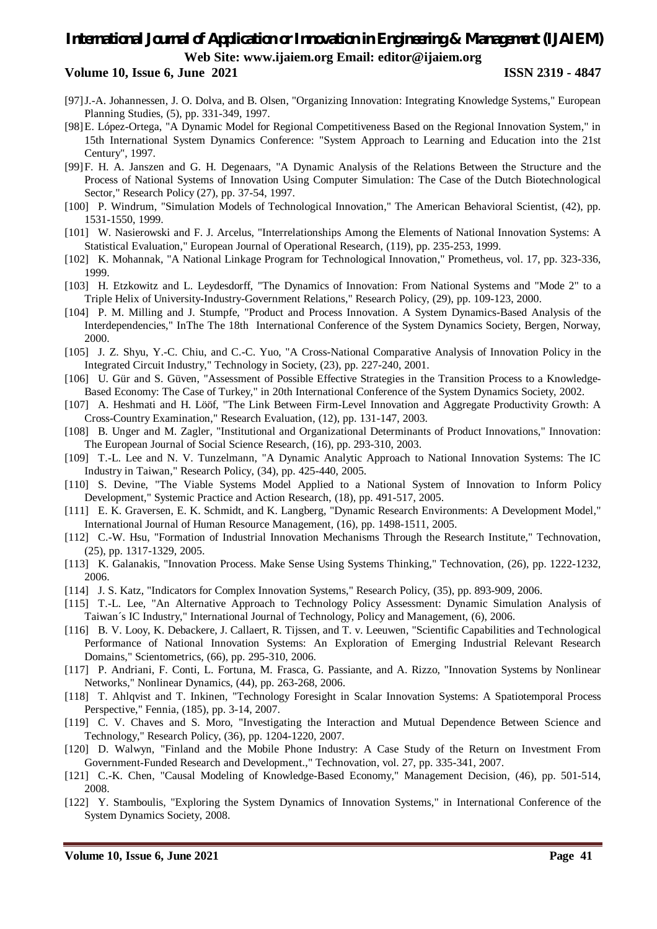- [97]J.-A. Johannessen, J. O. Dolva, and B. Olsen, "Organizing Innovation: Integrating Knowledge Systems," European Planning Studies, (5), pp. 331-349, 1997.
- [98]E. López-Ortega, "A Dynamic Model for Regional Competitiveness Based on the Regional Innovation System," in 15th International System Dynamics Conference: "System Approach to Learning and Education into the 21st Century", 1997.
- [99]F. H. A. Janszen and G. H. Degenaars, "A Dynamic Analysis of the Relations Between the Structure and the Process of National Systems of Innovation Using Computer Simulation: The Case of the Dutch Biotechnological Sector," Research Policy (27), pp. 37-54, 1997.
- [100] P. Windrum, "Simulation Models of Technological Innovation," The American Behavioral Scientist, (42), pp. 1531-1550, 1999.
- [101] W. Nasierowski and F. J. Arcelus, "Interrelationships Among the Elements of National Innovation Systems: A Statistical Evaluation," European Journal of Operational Research, (119), pp. 235-253, 1999.
- [102] K. Mohannak, "A National Linkage Program for Technological Innovation," Prometheus, vol. 17, pp. 323-336, 1999.
- [103] H. Etzkowitz and L. Leydesdorff, "The Dynamics of Innovation: From National Systems and "Mode 2" to a Triple Helix of University-Industry-Government Relations," Research Policy, (29), pp. 109-123, 2000.
- [104] P. M. Milling and J. Stumpfe, "Product and Process Innovation. A System Dynamics-Based Analysis of the Interdependencies," InThe The 18th International Conference of the System Dynamics Society, Bergen, Norway, 2000.
- [105] J. Z. Shyu, Y.-C. Chiu, and C.-C. Yuo, "A Cross-National Comparative Analysis of Innovation Policy in the Integrated Circuit Industry," Technology in Society, (23), pp. 227-240, 2001.
- [106] U. Gür and S. Güven, "Assessment of Possible Effective Strategies in the Transition Process to a Knowledge-Based Economy: The Case of Turkey," in 20th International Conference of the System Dynamics Society, 2002.
- [107] A. Heshmati and H. Lööf, "The Link Between Firm-Level Innovation and Aggregate Productivity Growth: A Cross-Country Examination," Research Evaluation, (12), pp. 131-147, 2003.
- [108] B. Unger and M. Zagler, "Institutional and Organizational Determinants of Product Innovations," Innovation: The European Journal of Social Science Research, (16), pp. 293-310, 2003.
- [109] T.-L. Lee and N. V. Tunzelmann, "A Dynamic Analytic Approach to National Innovation Systems: The IC Industry in Taiwan," Research Policy, (34), pp. 425-440, 2005.
- [110] S. Devine, "The Viable Systems Model Applied to a National System of Innovation to Inform Policy Development," Systemic Practice and Action Research, (18), pp. 491-517, 2005.
- [111] E. K. Graversen, E. K. Schmidt, and K. Langberg, "Dynamic Research Environments: A Development Model," International Journal of Human Resource Management, (16), pp. 1498-1511, 2005.
- [112] C.-W. Hsu, "Formation of Industrial Innovation Mechanisms Through the Research Institute," Technovation, (25), pp. 1317-1329, 2005.
- [113] K. Galanakis, "Innovation Process. Make Sense Using Systems Thinking," Technovation, (26), pp. 1222-1232, 2006.
- [114] J. S. Katz, "Indicators for Complex Innovation Systems," Research Policy, (35), pp. 893-909, 2006.
- [115] T.-L. Lee, "An Alternative Approach to Technology Policy Assessment: Dynamic Simulation Analysis of Taiwan´s IC Industry," International Journal of Technology, Policy and Management, (6), 2006.
- [116] B. V. Looy, K. Debackere, J. Callaert, R. Tijssen, and T. v. Leeuwen, "Scientific Capabilities and Technological Performance of National Innovation Systems: An Exploration of Emerging Industrial Relevant Research Domains," Scientometrics, (66), pp. 295-310, 2006.
- [117] P. Andriani, F. Conti, L. Fortuna, M. Frasca, G. Passiante, and A. Rizzo, "Innovation Systems by Nonlinear Networks," Nonlinear Dynamics, (44), pp. 263-268, 2006.
- [118] T. Ahlqvist and T. Inkinen, "Technology Foresight in Scalar Innovation Systems: A Spatiotemporal Process Perspective," Fennia, (185), pp. 3-14, 2007.
- [119] C. V. Chaves and S. Moro, "Investigating the Interaction and Mutual Dependence Between Science and Technology," Research Policy, (36), pp. 1204-1220, 2007.
- [120] D. Walwyn, "Finland and the Mobile Phone Industry: A Case Study of the Return on Investment From Government-Funded Research and Development.," Technovation, vol. 27, pp. 335-341, 2007.
- [121] C.-K. Chen, "Causal Modeling of Knowledge-Based Economy," Management Decision, (46), pp. 501-514, 2008.
- [122] Y. Stamboulis, "Exploring the System Dynamics of Innovation Systems," in International Conference of the System Dynamics Society, 2008.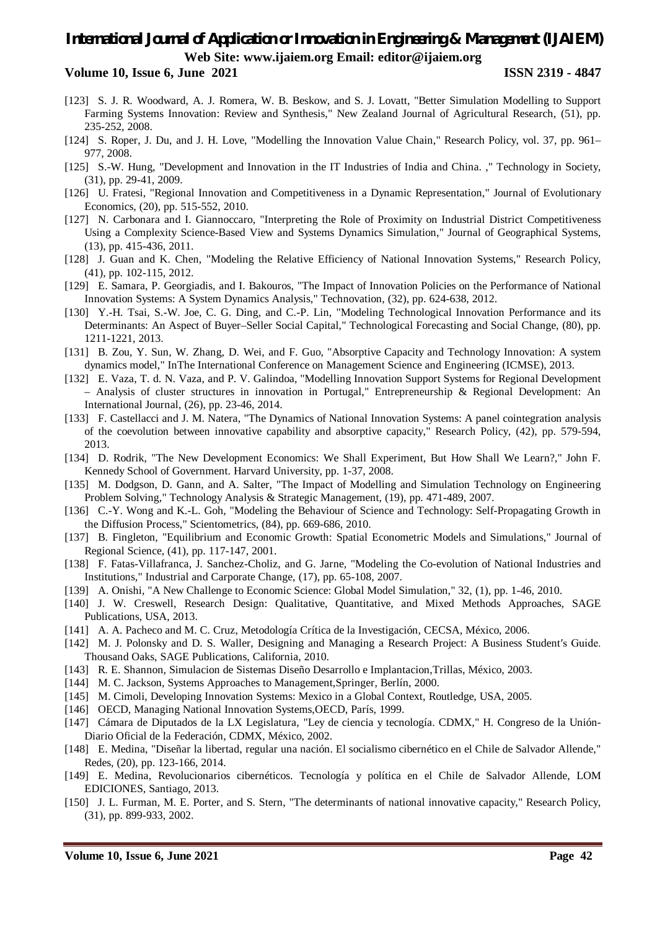- [123] S. J. R. Woodward, A. J. Romera, W. B. Beskow, and S. J. Lovatt, "Better Simulation Modelling to Support Farming Systems Innovation: Review and Synthesis," New Zealand Journal of Agricultural Research, (51), pp. 235-252, 2008.
- [124] S. Roper, J. Du, and J. H. Love, "Modelling the Innovation Value Chain," Research Policy, vol. 37, pp. 961– 977, 2008.
- [125] S.-W. Hung, "Development and Innovation in the IT Industries of India and China. ," Technology in Society, (31), pp. 29-41, 2009.
- [126] U. Fratesi, "Regional Innovation and Competitiveness in a Dynamic Representation," Journal of Evolutionary Economics, (20), pp. 515-552, 2010.
- [127] N. Carbonara and I. Giannoccaro, "Interpreting the Role of Proximity on Industrial District Competitiveness Using a Complexity Science-Based View and Systems Dynamics Simulation," Journal of Geographical Systems, (13), pp. 415-436, 2011.
- [128] J. Guan and K. Chen, "Modeling the Relative Efficiency of National Innovation Systems," Research Policy, (41), pp. 102-115, 2012.
- [129] E. Samara, P. Georgiadis, and I. Bakouros, "The Impact of Innovation Policies on the Performance of National Innovation Systems: A System Dynamics Analysis," Technovation, (32), pp. 624-638, 2012.
- [130] Y.-H. Tsai, S.-W. Joe, C. G. Ding, and C.-P. Lin, "Modeling Technological Innovation Performance and its Determinants: An Aspect of Buyer–Seller Social Capital," Technological Forecasting and Social Change, (80), pp. 1211-1221, 2013.
- [131] B. Zou, Y. Sun, W. Zhang, D. Wei, and F. Guo, "Absorptive Capacity and Technology Innovation: A system dynamics model," InThe International Conference on Management Science and Engineering (ICMSE), 2013.
- [132] E. Vaza, T. d. N. Vaza, and P. V. Galindoa, "Modelling Innovation Support Systems for Regional Development – Analysis of cluster structures in innovation in Portugal," Entrepreneurship & Regional Development: An International Journal, (26), pp. 23-46, 2014.
- [133] F. Castellacci and J. M. Natera, "The Dynamics of National Innovation Systems: A panel cointegration analysis of the coevolution between innovative capability and absorptive capacity," Research Policy, (42), pp. 579-594, 2013.
- [134] D. Rodrik, "The New Development Economics: We Shall Experiment, But How Shall We Learn?," John F. Kennedy School of Government. Harvard University, pp. 1-37, 2008.
- [135] M. Dodgson, D. Gann, and A. Salter, "The Impact of Modelling and Simulation Technology on Engineering Problem Solving," Technology Analysis & Strategic Management, (19), pp. 471-489, 2007.
- [136] C.-Y. Wong and K.-L. Goh, "Modeling the Behaviour of Science and Technology: Self-Propagating Growth in the Diffusion Process," Scientometrics, (84), pp. 669-686, 2010.
- [137] B. Fingleton, "Equilibrium and Economic Growth: Spatial Econometric Models and Simulations," Journal of Regional Science, (41), pp. 117-147, 2001.
- [138] F. Fatas-Villafranca, J. Sanchez-Choliz, and G. Jarne, "Modeling the Co-evolution of National Industries and Institutions," Industrial and Carporate Change, (17), pp. 65-108, 2007.
- [139] A. Onishi, "A New Challenge to Economic Science: Global Model Simulation," 32, (1), pp. 1-46, 2010.
- [140] J. W. Creswell, Research Design: Qualitative, Quantitative, and Mixed Methods Approaches, SAGE Publications, USA, 2013.
- [141] A. A. Pacheco and M. C. Cruz, Metodología Crítica de la Investigación, CECSA, México, 2006.
- [142] M. J. Polonsky and D. S. Waller, Designing and Managing a Research Project: A Business Student′s Guide. Thousand Oaks, SAGE Publications, California, 2010.
- [143] R. E. Shannon, Simulacion de Sistemas Diseño Desarrollo e Implantacion,Trillas, México, 2003.
- [144] M. C. Jackson, Systems Approaches to Management, Springer, Berlín, 2000.
- [145] M. Cimoli, Developing Innovation Systems: Mexico in a Global Context, Routledge, USA, 2005.
- [146] OECD, Managing National Innovation Systems, OECD, París, 1999.
- [147] Cámara de Diputados de la LX Legislatura, "Ley de ciencia y tecnología. CDMX," H. Congreso de la Unión-Diario Oficial de la Federación, CDMX, México, 2002.
- [148] E. Medina, "Diseñar la libertad, regular una nación. El socialismo cibernético en el Chile de Salvador Allende," Redes, (20), pp. 123-166, 2014.
- [149] E. Medina, Revolucionarios cibernéticos. Tecnología y política en el Chile de Salvador Allende, LOM EDICIONES, Santiago, 2013.
- [150] J. L. Furman, M. E. Porter, and S. Stern, "The determinants of national innovative capacity," Research Policy, (31), pp. 899-933, 2002.